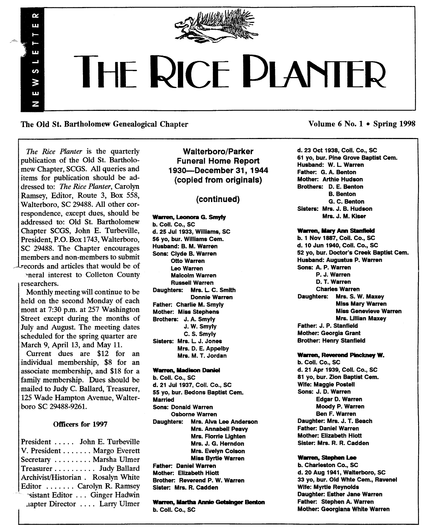

# THE RICE PLANTER

The Old St. Bartholomew Genealogical Chapter Volume 6 No. 1 • Spring 1998

*The Rice Planter* is the quarterly publication of the Old St. Bartholomew Chapter, SCGS. All queries and items for publication should be addressed to: *The Rice Planter,* Carolyn Ramsey, Editor, Route 3, Box 558, Walterboro, SC 29488. All other correspondence, except dues, should be addressed to: Old St. Bartholomew Chapter SCGS, John E. Turbeville, President, P.O. Box 1743, Walterboro, SC 29488. The Chapter encourages members and non-members to submit records and articles that would be of

 $\alpha$ пm

 $\mathbf{u}$ L,  $\boldsymbol{\omega}$ W  $\mathbf{H}$  $\overline{z}$ 

'neral interest to Colleton County researchers.

Monthly meeting will continue to be held on the second Monday of each mont at 7:30 p.m. at 257 Washington Street except during the months of July and August. The meeting dates scheduled for the spring quarter are March 9, April 13, and May 11.

Current dues are \$12 for an individual membership, \$8 for an associate membership, and \$18 for a family membership. Dues should be mailed to Judy C. Ballard, Treasurer, 125 Wade Hampton Avenue, Walterboro SC 29488-9261.

## Officers for 1997

President . . . . . John E. Turbeville  $V.$  President  $\dots \dots$  Margo Everett Secretary ........ Marsha Ulmer Treasurer. . . . . . . . .. Judy Ballard Archivist/Historian. Rosalyn White Editor  $\ldots$ ... Carolyn R. Ramsey "sistant Editor . .. Ginger Hadwin .tapter Director .. .. Larry Ulmer

Walterboro/Parker Funeral Home Report 193O-0ecember 31, 1944 (copied from originals)

## (continued)

## Warren, Leonora G. Smyly

b. Coli. Co., sc d. 25 Jul 1933, Williams, SC 56 yo, bur. Williams Cem. Husband: B. M. Warren Sons: Clyde B. Warren Otto Warren Leo Warren Malcolm Warren Russell Warren Daughters: Mrs. L. C. Smith Donnie Warren Father: Charlie M. Smyly Mother: Miss Stephens Brothers: J. A. Smyly J. W. Smyly C. S. Smyly Sisters: Mrs. L J. Jones Mrs. D. E. Appelby Mrs. M. T. Jordan

## Warren, Madison Daniel

b. Coli. Co., SC d. 21 Ju11937, Coli. Co., SC 55 yo, bur. Bedons Baptist Cem. **Married** Sons: Donald Warren Osborne Warren Daughters: Mrs. Alva Lee Anderson Mrs. Annabell Peavy Mrs. Florrie Ughten Mrs. J. G. Herndon Mrs. Evelyn Colson Miss Byrtie Warren Father: Daniel Warren Mother: Elizabeth Hiott Brother: Reverend P. W. Warren Sister: Mrs. R. Cadden

Warren, Martha Annie Getsinger Benton b. Coli. Co., SC

d. 23 Oct 1938, Coli. Co., SC 61 yo, bur. Pine Grove Baptist Cem. Husband: W. L Warren Father: G. A. Benton Mother: Arthie Hudson Brothers: D. E. Benton B. Benton G. C. Benton Sisters: Mrs. J. B. Hudson Mrs. J. M. Kiser

#### Warren, Mary Ann Stanfield

b.1 Nov 1887, Coil. Co., SC d. 10 Jun 1940, Coli. Co., SC 52 yo, bur. Doctor's Creek Baptist Cem. Husband: Augustus P. Warren Sons: A. P. Warren P. J. Warren D. T. Warren Charles Warren Daughters: Mrs. S. W. Maxey Miss Mary Warren Miss Genevieve Warren Mrs. Ullian Maxey Father: J. P. Stanfield Mother: Georgia Grant Brother: Henry Stanfield

## Warren, Reverend Pinckney W.

b. Coli. Co., SC d. 21 Apr 1939, Coli. Co., SC 81 yo, bur. Zion Baptist Cem. Wife: Maggie Postell Sons: J. D. Warren Edgar D. Warren Moody P. Warren Ben F. Warren Daughter: Mrs. J. T. Beach Father: Daniel Warren Mother: Elizabeth Hiott Sister: Mrs. R. R. Cadden

## Warren, Stephen Lee

b. Charleston Co., SC d. 20 Aug 1941, Walterboro, SC 33 yo, bur. Old Whte Cem., Ravenel Wife: Myrtle Reynolds Daughter: Esther Jane Warren Father: Stephen A. Warren Mother: Georgiana White Warren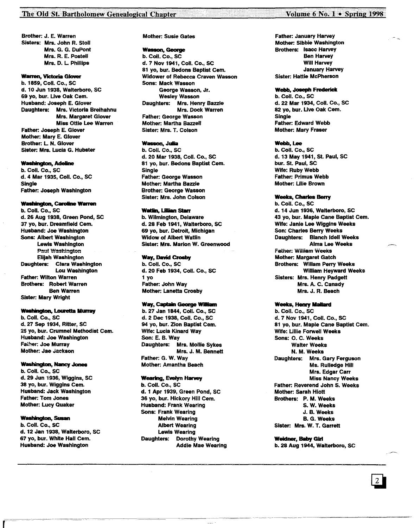## The Old St. Bartholomew Genealogical Chapter

**Brother: J. E. Warren** Sisters: Mrs. John R. Stoll Mrs. G. G. DuPont Mrs. R. E. Postell Mrs. D. L. Phillips

## **Warren, Victoria Glover**

b. 1859, Coll. Co., SC d. 10 Jun 1938, Walterboro, SC 69 yo, bur. Live Oak Cem. Husband: Joseph E. Glover Daughters: Mrs. Victoria Breihahnu Mrs. Margaret Glover **Miss Ottie Lee Warren** Father: Joseph E. Glover Mother: Mary E. Glover

**Brother: L. N. Glover** Sister: Mrs. Lucia G. Hubster

#### **Washington, Adeline**

b. Coll. Co., SC d. 4 Mar 1935, Coll. Co., SC **Single Father: Joseph Washington** 

## **Washington, Caroline Warren**

b. Coll. Co., SC d. 26 Aug 1938. Green Pond. SC 37 vo. bur. Dreamfield Cem. Husband: Joe Washington Sons: Albert Washington Lewis Washington Paul Washington Elijah Washington Daughters: Clara Washington Lou Washington **Father: Wilton Warren Brothers: Robert Warren Ben Warren Sister: Mary Wright** 

#### **Washington, Louretta Murray**

b. Coll. Co., SC d, 27 Sep 1934, Ritter, SC 25 yo, bur. Crumnel Methodist Cem. Husband: Joe Washington Father: Joe Murray Mother: Jae Jackson

#### **Washington, Nancy Jones**

b. Coll. Co., SC d. 29 Jun 1936, Wiggins, SC 38 yo, bur. Wiggins Cem. **Husband: Jack Washington Father: Tom Jones Mother: Lucy Quaker** 

#### **Washington, Susan**

b. Coll. Co., SC d. 12 Jan 1938, Walterboro, SC 67 yo, bur. White Hall Cem. Husband: Joe Washington

### **Mother: Susie Gates**

#### **Wasson, George**

b. Coll. Co., SC d. 7 Nov 1941, Coll. Co., SC 81 vo. bur. Bedons Baptist Cem. Widower of Rebecca Craven Wasson Sons: Mack Wasson George Wasson, Jr. **Wesley Wasson** Daughters: Mrs. Henry Bazzle Mrs. Dock Warren **Father: George Wasson Mother: Martha Bazzell** Sister: Mrs. T. Colson

## Wasson, Julia

b. Coll. Co., SC d. 20 Mar 1938, Coll. Co., SC 81 yo, bur. Bedons Baptist Cem. **Single Father: George Wasson** Mother: Martha Bazzle **Brother: George Wasson** Sister: Mrs. John Colson

## **Watlin, Lillian Starr**

b. Wilmington, Delaware d. 28 Feb 1941. Walterboro, SC 69 vo. bur. Detroit. Michigan **Widow of Albert Watlin Sister: Mrs. Marion W. Greenwood** 

## **Way, David Crosby**

b. Coll. Co., SC d. 20 Feb 1934, Coll. Co., SC  $1<sub>vo</sub>$ Father: John Way **Mother: Lanetta Crosby** 

## Way, Captain George William

b. 27 Jan 1844, Coll. Co., SC d. 2 Dec 1938, Coll. Co., SC 94 yo, bur. Zion Baptist Cem. Wife: Lucia Kinard Way Son: E. B. Wav Daughters: Mrs. Mollie Sykes Mrs. J. M. Bennett Father: G. W. Wav **Mother: Amantha Beach** 

#### **Wearing, Evelyn Harvey**

b. Coll. Co., SC d. 1 Apr 1939, Green Pond, SC 36 vo. bur. Hickory Hill Cem. **Husband: Frank Wearing Sons: Frank Wearing Melvin Wearing Albert Wearing** Lewis Wearing Daughters: Dorothy Wearing **Addie Mae Wearing** 

## **Father: January Harvey Mother: Sibbie Washington Brothers: Isacc Harvey Ben Harvey Will Harvey January Harvey** Sister: Hattie McPherson

#### Webb, Joseph Frederick

b. Coll. Co., SC d. 22 Mar 1934, Coll. Co., SC 82 vo. bur. Live Oak Cem. **Sinale Father: Edward Webb Mother: Mary Fraser** 

## Webb, Lee

b. Coll. Co., SC d. 13 May 1941, St. Paul, SC bur. St. Paul, SC Wife: Ruby Webb **Father: Primus Webb Mother: Lilie Brown** 

#### **Weeks, Charles Berry**

b. Coll. Co., SC d. 14 Jun 1936, Walterboro, SC 43 yo, bur. Maple Cane Baptist Cem. Wife: Janie Lee Wiggins Weeks Son: Charles Berry Weeks Daughters: Blanch Idell Weeks **Alma Lee Weeks** Father: William Weeks **Mother: Margaret Gatch Brothers: Willam Perry Weeks William Heyward Weeks Sisters: Mrs. Henry Padgett** Mrs. A. C. Canady Mrs. J. R. Beach

## **Weeks, Henry Mallard**

b. Coll. Co., SC d. 7 Nov 1941, Coll. Co., SC 81 yo, bur, Maple Cane Baptist Cem. Wife: Lillie Forwell Weeks Sons: O. C. Weeks **Walter Weeks** N. M. Weeks Daughters: Mrs. Gary Ferguson Ms. Rulledge Hill Mrs. Edgar Carr **Miss Nancy Weeks** Father: Reverend John S. Weeks **Mother: Sarah Hiott** Brothers: P. M. Weeks S. W. Weeks J. B. Weeks **B. G. Weeks** Sister: Mrs. W. T. Garrett

**Weidner, Baby Girl** b. 28 Aug 1944, Walterboro, SC

## Volume 6 No. 1 • Spring 1998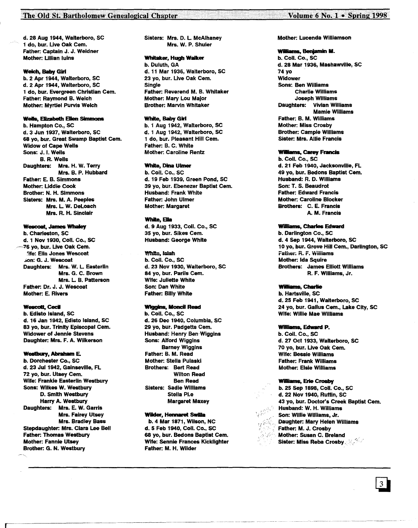## The Old St. Bartholomew Genealogical Chapter

d. 28 Aug 1944, Walterboro, SC 1 do, bur. Uve Oak Cem. Father: Captain J. J. Weidner Mother: Ullian luins

#### Welch, Baby Girl

b. 2 Apr 1944, Walterboro, SC d. 2 Apr 1944, Walterboro, SC 1 do, bur. Evergreen Christian Cem. Father: Raymond B. Welch Mother: Myrtlel Purvis Welch

## Wells, Elizabeth Ellen Simmons

b. Hampton Co., SC d. 3 Jun 1937, Walterboro, SC 68 yo, bur. Great Swamp Baptist Cem. Widow of Cape Wells Sons: J. I. Wells B. R. Wells Daughters: Mrs. H. W. Terry Mrs. B. P. Hubbard Father: E. B. Simmons Mother: Uddie Cook Brother: N. H. Simmons Sisters: Mrs. M. A. Peeples Mrs. L W. Deloach Mrs. R. H. Sinclair

#### We&C08I, James Whaley

b. Charleston, SC d.1 Nov 1930, Coli. Co., SC ~6 yo, bur. Uve Oak Cem. 'ife: Ella Jones Wescoat .>on:G. J. Wescoat Daughters: Mrs. W. L. Easterlin Mrs. G. C. Brown Mrs. L B. Patterson Father: Dr. J. J. Wescoat Mother: E. Rivers

## Wescott, Cecil

b. Edisto Island, SC d. 16 Jan 1942, Edisto Island, SC 83 yo, bur. Trinity Episcopal Cem. Widower of Jennie Stevens Daughter: Mrs. F. A. Wilkerson

## Westbury, Abraham E.

b. Dorchester Co., SC d. 23 Jul 1942, Gainseville, FL 72 yo, bur. Utsey Cem. Wife: Frankie Easterlin Westbury Sons: Wilkes W. Westbury D. Smith Westbury Harry A. Westbury Daughters: Mrs. E. W. Garris Mrs. Fairey Utsey Mrs. Bradley Bass Stepdaughter: Mrs. Clara Lee Bell Father: Thomas Westbury Mother: Fannie Utsey Brother: G. N. Westbury

.~-------------.---------~---------- -------\_.\_--

Sisters: Mrs. D. L McAlhaney Mrs. W. P. Shuler

## Whilaker, Hugh Walker

b. Duluth, GA d. 11 Mar 1936, Walterboro, SC 23 yo, bur. Uve Oak Cem. **Single** Father: Reverend M. B. Whitaker Mother: Mary Lou Major Brother: Marvin Whitaker

## White, Baby Girl

b. 1 Aug 1942, Walterboro, SC d.1 Aug 1942, Walterboro, SC 1 do, bur. Pleasant Hill Cem. Father: B. C. White Mother: Caroline Rentz

## White, Dina Ulmer

b. Coli. Co., SC d. 19 Feb 1939, Green Pond, SC 39 yo, bur. Ebenezer Baptist Cem. Husband: Frank White Father: John Ulmer Mother: Margaret

## White, Ella

d. 9 Aug 1933, Coli. Co., SC 35 yo, bur. Sikes Cem. Husband: George White

#### White, leish

b. Coli. Co., SC d. 23 Nov 1930, Walterboro, SC 84 yo, bur. Parils Cem. Wife: Juliette White Son: Dan White Father: Billy White

## Wiggins, Moncil Read

b. Coli. Co., SC d. 26 Dee 1940, Columbia, SC 29 yo, bur. Padgetts Cem. Husband: Henry Ben Wiggins Sons: Alford Wiggins Barney Wiggins Father: B. M. Read Mother: Stella Pulaski Brothers: Bert Read Wilton Read Ben Read Sisters: Sadie Williams Stella Pi.e Margaret Maxey

## Wilder, Hennaret Swilla

b.4 Mar 1871, Wilson, NC d. 5 Feb 1940, Coli. Co., SC 68 yo, bur. Bedons Baptist Cem. Wife: Sennie Frances Kicklighter Father: M. H. Wilder

Mother: Lucenda Williamson

#### •••••• Benjamin M.

b. Coli. Co., SC d. 28 Mar 1936, MashawYIlle, SC 74 yo Widower Sons: Ben Williams Charlie Williams Joseph Williams Daughters: Vivian Williams Mamie Williams Father: B. M. Williams Mother: Miss Crosby Brother: Campie Williams Sister: Mrs. Allie Francis

## Williams, Carey Francis

b. Coli. Co., SC d. 21 Feb 1940, Jacksonville, FL 49 yo, bur. Bedons Baptist Cem. Husband: R. D. Williams Son: T. S. Beaudrot Father: Edward Francis Mother: Caroline Blocker Brothers: C. E. Francis A. M. Francis

#### Williams, Charles Edward

b. Darlington Co., SC d. 4 Sep 1944, Walterboro, SC 10 yo, bur. Grove Hill Cem., Darlington, SC Father: R. F. Williams Mother: Ida Squire Brothers: James Elliott Williams R. F. Williams, Jr.

## Williams, Charlie

b. Hartsville, SC d. 25 Feb 1941, Walterboro, SC 24 yo, bur. Gallus Cem., Lake City, SC Wife: Willie Mae Williams

#### Williams, Edward P.

b. Coli. Co., SC d. 27 Oct 1933, Walterboro, SC 70 yo, bur. Live Oak Cem. Wife: Bessie Williams Father: Frank Williams Mother: Elsie Williams

#### Williams, Erie Crosby

b. 25 Sep 1898, Coli. Co., SC d. 22 Nov 1940, Ruffin, SC 43 yo, bur. Doctor's Creek Baptist Cem. Husband: W. H. Williams Son: Willie Williams, Jr. Daughter: Mary Helen Williams Father: M. J. Crosby Mother: Susan C. Breland **Sister: Miss Reba Crosby** 

.--.,',.... .---- ..-.-.- .....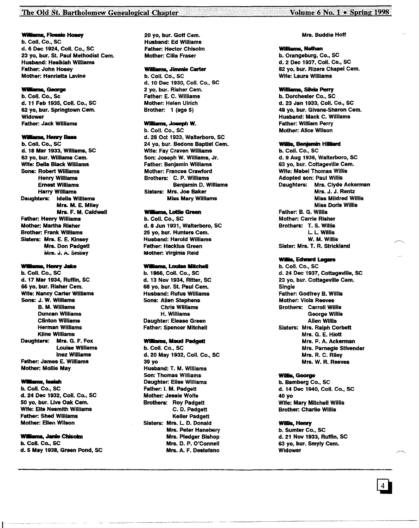Williams, Flossie Hosey

b. Coli. Co., sc d. 6 Dee 1924, Coli. Co., SC 23 yo, bur. St. Paul Methodist Cem. Husband: Hesikiah Williams Father: John Hosey Mother: Henrietta Lavine

## **Williams, George**

b. Coli. Co., SC d. 11 Feb 1935, Coli. Co., SC 62 yo, bur. Springtown Cem. Widower Father: Jack Williams

## **Williams, Henry Bass**

b. Coil. Co., SC d. 18 Mar 1933, Williams, SC 63 yo, bur. Williams Cem. Wife: Della Black Williams Sons: Robert Williams Henry Williams Ernest Williams Harry Williams Daughters: Idella Williams Mrs. M. E. Miley Mrs. F. M. Caldwell Father: Henry Williams Mother: Martha Risher Brother: Frank Williams Sisters: Mrs. E. E. Kinsey Mrs. Don Padgett Mrs. J. A. Smiley

## Williams, Henry Jake

b. Coli. Co., SC d. 17 Mar 1934, Ruffin, SC 66 yo, bur. Risher Cem. Wife: Nancy Carter Williams Sons: J. W. WIlliams B. M. Williams Duncan Williams Clinton Williams Herman Williams Kline Williams Daughters: Mrs. G. F. Fox Louise Williams Inez Williams Father: James E. Williams Mother: Mollie May

#### **Williams, Isaiah**

b. Coli. Co., SC d. 24 Dee 1932, Coli. Co., SC 50 yo, bur. Uve Oak Cem. Wife: Ella Nesmith Williams Father: Shed Williams Mother: Ellen Wilson

## **Williams, Janie Chisolm**

b. Coil. Co., SC d.5 May 1938, Green Pond, SC 20 yo, bur. Goff Cem. Husband: Ed Williams Father: Hector Chisolm Mother: Cilia Fraser

## Williams, Jinunie Carter

b. Coli. Co., SC d. 10 Dee 1930, Coli. Co., SC 2 yo, bur. Risher Cem. Father: E. C. Williams Mother: Helen Ulrich Brother: 1 (age 5)

## Wiliams, Joeeph W.

b. Coli. Co., SC d. 28 Oct 1933, Walterboro, SC 24 yo, bur. Bedons Baptist Cem. Wife: Fay Craven Williams Son: Joseph W. Williams, Jr. Father: Benjamin Williams Mother: Frances Crawford Brothers: C. P. Williams Benjamin D. Williams Sisters: Mrs. Joe Baker Miss Mary Williams

## Williams, Lottie Green

b. Coli. Co., SC d. 8 Jun 1931, Walterboro, SC 25 yo, bur. Hunters Cem. Husband: Harold Williams Father: Hacklus Green Mother: Virginia Reid

## WIliams, **Lauise lIitcheII**

b. 1866, Coli. Co., SC d. 13 Nov 1934, Ritter, SC 68 yo, bur. St. Paul Cem. Husband: Rufus Williams Sons: Allen Stephens Chris Williams H. Williams Daughter: Elease Green Father: Spencer Mitchell

#### Williams, Maud Padgett

b. Coli. Co., SC d. 20 May 1932, Coli. Co., SC 39 yo Husband: T. M. Williams Son: Thomas Williams Daughter: Elise Williams Father: I. M. Padgett Mother: Jessie Wolfe Brothers: Roy Padgett C. D. Padgett Keller Padgett Sisters: Mrs. L D. Donald Mrs. Peter Hanebery Mrs. Pledger Bishop Mrs. D. P. O'Connell Mrs. A. F. Destefano

## Mrs. Buddie Hoff

## Williams, Nathan b. Orangeburg, Co., SC d.2 Dee 1937, Coli. Co., SC 82 yo, bur. Rizers Chapel Cem. Wife: Laura Williams

#### Williams, Silvia Perry

b. Dorchester Co., SC d. 23 Jan 1933, Coli. Co., SC 48 yo, bur. Givans-Sharon Cem. Husband: Mack C. Williams Father: William Perry Mother: Alice Wilson

## Willis, Benjamin Hilliard

b. Coli. Co., SC d. 9 Aug 1936, Walterboro, SC 63 yo, bur. Cottageville Cem. Wife: Mabel Thomas Willis Adopted son: Paul Willis Daughters: Mrs. Clyde Ackerman Mrs. J. J. Rentz Miss Mildred Willis Miss Doris Willis Father: B. G. Willis Mother: Carrie Risher Brothers: T. S. Willis L L Willis W. M. Willis Sister: Mrs. T. R. Strickland

## Willis, Edward Legare

b. Coli. Co., SC d. 24 Dee 1937, Cottageville, SC 23 yo, bur. Cottageville Cem. Single Father. Godfrey B. Willis Mother: Viola Reeves Brothers: Carroll Willis George Willis Allen Willis Sisters: Mrs. Ralph Corbett Mrs. G. E. Hiott Mrs. P. A. Ackerman Mrs. Parnegle Stivender Mrs. R. C. Riley Mrs. W. R. Reeves

## Willis, George

b. Bamberg Co., SC d. 14 Dee 1940, Coli. Co., SC 40 yo Wife: Mary Mitchell Willis Brother: Charlie Willis

## Willis, Henry

b. Sumter Co., SC d. 21 Nov 1933, Ruffin, SC 63 yo, bur. Smyly Cern. Widower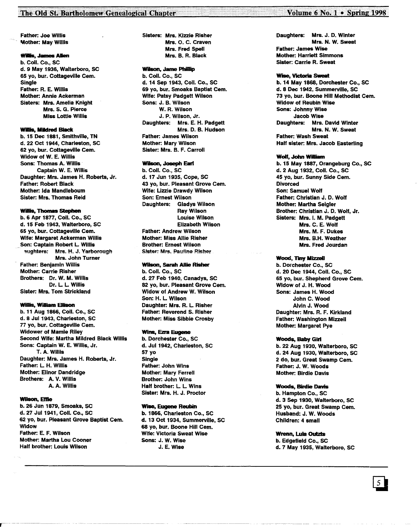## The Old St. Bartholomew Genealogical Chapter **1998** The Old St. Bartholomew Genealogical Chapter

Father: Joe Willis Mother: May Willis

## **Willis, James Allen**

b. Coli. Co., SC d.9 May 1936, Walterboro, SC 65 yo, bur. Cottageville Cem. Single Father: R. E. Willis Mother: Annie Ackerman Sisters: Mrs. Amelia Knight Mrs. S. G. Pierce Miss Lottie Willis

## Willis, Mildred Black

b. 15 Dee 1881, Smithville, TN d.22 Oct 1944, Charleston, SC 62 yo, bur. Cottageville Cem. Widow of W. E. Willis Sons: Thomas A. Willis Captain W. E. Willis Daughter: Mrs. James H. Roberts, Jr. Father: Robert Black Mother: Ida Mandleboum Sister: Mrs. Thomas Reid

## Willis, Thomas Stephen

b. 6 Apr 1877, Coli. Co., SC d. 15 Feb 1943, Walterboro, SC 65 yo, bur. Cottageville Cem. Wife: Margaret Ackerman Willis \_Son: Captain Robert L Willis aughters: Mrs. H. J. Yarborough Mrs. John Turner Father: Benjamin Willis Mother: Carrie Risher Brothers: Dr. W. M. Willis Dr. L L Willis Sister: Mrs. Tom Strickland

## Willis, William Ellison

b. 11 Aug 1866, Coli. Co., SC d. 8 Jul 1943, Charleston, SC 77 yo, bur. Cottageville Cem. Widower of Mamie Riley Second Wife: Martha Mildred Black Willis Sons: Captain W. E. Willis, Jr. T. A. Willis Daughter: Mrs. James H. Roberts, Jr. Father: L H. Willis Mother: Elinor Dandridge Brothers: A. V. Willis A. A. Willis

## Wilson, Effie

b. 26 Jun 1879, Smoaks, SC d. 27 Jul 1941, Coll. Co., SC 62 yo, bur. Pleasant Grove Baptist Cem. Widow Father: E. F. Wilson Mother: Martha Lou Cooner Half brother: Louis Wilson

## Sisters: Mrs. Kizzie Risher Mrs. O. C. Craven Mrs. Fred Spell Mrs. B. R. Black

## Wilson, Jame Phillip

b. Coli. Co., SC d. 14 5ep 1943, Coli. Co., SC 69 yo, bur. Smoaks Baptist Cem. Wife: Patsy Padgett Wilson Sons: J. B. Wilson W. R. Wilson J. P. Wilson, Jr. Daughters: Mrs. E. H. Padgett Mrs. D. B. Hudson Father: James Wilson Mother: Mary Wilson Sister: Mrs. B. F. Carroll

### Wilson, Joseph Eart

b. Coli. Co., SC d. 17 Jun 1935, Cope, SC 43 yo, bur. Pleasant Grove Cem. Wife: Lizzie Drawdy Wilson Son: Ernest Wilson Daughters: Gladys Wilson Ray Wilson Louise Wilson Elizabeth Wilson Father: Andrew Wilson Mother: Miss Allie Risher Brother: Ernest Wilson Sister: Mrs. Pauline Risher

## 'K1Ison, 5arah Allie Risher

b. Coli. Co., SC d. 27 Feb 1940, Canadys, SC 82 yo, bur. Pleasant Grove Cem. Widow of Andrew W. Wilson Son: H. L Wilson Daughter: Mrs. R. L Risher Father: Reverend S. Risher Mother: Miss Sibbie Crosby

## Wins, Ezra Eugene

b. Dorchester Co., SC d. Jul 1942, Charleston, SC 57 yo Single Father: John Wins Mother: Mary Ferrell Brother: John Wins Half brother: L. L. Wins Sister: Mrs. H. J. Proctor

#### Wise, Eugene Reubin

b. 1866, Charleston Co., SC d. 13 Oct 1934, Summerville, SC 68 yo, bur. Boone Hill Cem. Wife: Victoria Sweat Wise Sons: J. W. Wise J. E. Wise

Daughters: Mrs. J. D. Winter Mrs. N. W. Sweat Father: James Wise Mother: Harriett Simmons Sister: Carrie R. Sweat

#### Wise, Victoria Sweat

b. 14 May 1868, Dorchester Co., SC d. 8 Dee 1942, Summerville, SC 73 yo, bur. Boone Hili Methodist Cem. Widow of Reubin Wise Sons: Johnny Wise Jacob Wise Daughters: Mrs. David Winter Mrs. N. W. Sweat Father: Wash Sweat Half sister: Mrs. Jacob Easterling

## Wolf, John William

b. 15 May 1887, Orangeburg Co., SC d. 2 Aug 1932, Coli. Co., SC 45 yo, bur. Sunny Side Cem. **Divorced** Son: Samuel Wolf Father: Christian J. D. Wolf Mother: Martha 5eigler Brother: Christian J. D. Wolf, Jr. Sisters: Mrs. I. M. Padgett Mrs. C. E. Wolf Mrs. M. F. Dukes Mrs. B.H. Weather Mrs. Fred Jourdan

#### Wood, Tiny Mizzell

b. Dorchester Co., SC d. 20 Dee 1944, Coli. Co., SC 65 yo, bur. Shepherd Grove Cem. Widow of J. H. Wood Sons: James H. Wood John C. Wood Alvin J. Wood Daughter: Mrs. R. F. Kirkland Father: Washington Mizzell Mother: Margaret Pye

#### Woods, Baby Girl

b. 22 Aug 1930, Walterboro, SC d. 24 Aug 1930, Walterboro, SC 2 do, bur. Great Swamp Cem. Father: J. W. Woods Mother: Birdie Davis

## Woods, Birdie Davis

b. Hampton Co., SC d. 3 5ep 1930, Walterboro, SC 25 yo, bur. Great Swamp Cem. Husband: J. W. Woods Children: 4 small

## Wrenn, Luia Outzts

b. Edgefield Co., SC d. 7 May 1935, Walterboro, SC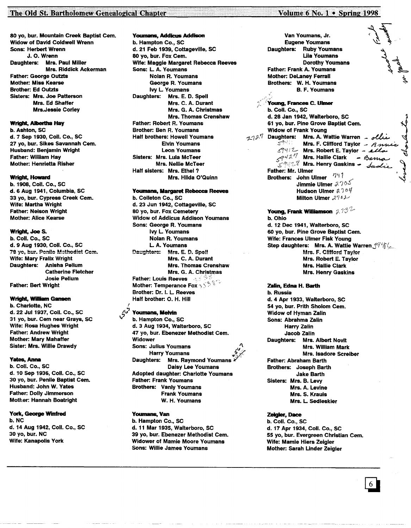## The Old St. Bartholomew Genealogical Chapter

80 vo. bur. Mountain Creek Baptist Cem. **Widow of David Coldwell Wrenn Sons: Herbert Wrenn** J. O. Wrenn Daughters: Mrs. Paul Miller **Mrs. Riddick Ackerman Father: George Outzts Mother: Miss Kearse Brother: Ed Outzts** Sisters: Mrs. Joe Patterson Mrs. Ed Shaffer **Mrs.Jessie Corley** 

## **Wright, Albertha Hay**

b. Ashton, SC d. 7 Sep 1930, Coll. Co., SC 27 yo, bur. Sikes Savannah Cem. Husband: Benjamin Wright **Father: William Hay Mother: Henrietta Risher** 

## Wright, Howard

b. 1908, Coll. Co., SC d. 6 Aug 1941, Columbia, SC 33 yo, bur. Cypress Creek Cem. **Wife: Martha Wright Father: Neison Wright Mother: Alice Kearse** 

## Wright, Joe S.

b. Coll. Co., SC d. 9 Aug 1930, Coll. Co., SC 78 yo, bur. Penile Mathodist Cem. Wife: Mary Fralix Wright Daughters: Anisha Pellum **Catherine Fletcher Josie Pellum Father: Bert Wright** 

#### **Wright, William Gansen**

b. Charlotte, NC d. 22 Jul 1937, Coll. Co., SC 31 yo, bur. Cem near Grays, SC Wife: Rosa Hughes Wright **Father: Andrew Wright Mother: Mary Mahatter** Sister: Mrs. Willie Drawdy

#### **Yates, Anna**

b. Coll. Co., SC d. 10 Sep 1936, Coll. Co., SC 30 yo, bur. Penile Baptist Cem. Husband: John W. Yates **Father: Dolly Jimmerson** Mother: Hannah Boatright

## York, George Winfred

b. NC d. 14 Aug 1942, Coll. Co., SC 30 yo, bur. NC **Wife: Kanapolis York** 

**Youmans, Addicus Addison** b. Hampton Co., SC d. 21 Feb 1939, Cottageville, SC 80 yo, bur. Fox Cem. Wife: Maggie Margaret Rebecca Reeves Sons: L. A. Youmans Nolan R. Youmans George R. Youmans **Ivy L. Youmans** Daughters: Mrs. E. D. Spell Mrs. C. A. Durant Mrs. G. A. Christmas **Mrs. Thomas Crenshaw Father: Robert R. Youmans** Brother: Ben R. Youmans **Half brothers: Howell Youmans Elvin Youmans Leon Youmans** Sisters: Mrs. Luia McTeer **Mrs. Nellie McTeer** Half sisters: Mrs. Ethel? Mrs. Hilda O'Quinn

#### Youmans, Margaret Rebecca Reeves

b. Colleton Co., SC d. 23 Jun 1942, Cottageville, SC 80 yo, bur. Fox Cemetery **Widow of Addicus Addison Youmans** Sons: George R. Youmans **Ivy L. Youmans Nolan R. Youmans** L. A. Youmans Daughters: Mrs. E. D. Spell Mrs. C. A. Durant **Mrs. Thomas Crenshaw** Mrs. G. A. Christmas **Father: Louis Reeves** 35 Mother: Temperance Fox  $\mathbb{R}^3$ Brother: Dr. I. L. Reeves Half brother: O. H. Hill

## Youmans, Melvin

b. Hampton Co., SC d. 3 Aug 1934, Walterboro, SC 47 yo, bur. Ebenezer Methodist Cem. Widower **Sons: Julius Youmans Harry Youmans** Daughters: Mrs. Raymond Youmans **Daisy Lee Youmans** Adopted daughter: Charlotte Youmans **Father: Frank Youmans Brothers: Vanly Youmans Frank Youmans** W. H. Youmans

## Youmans, Van

b. Hampton Co., SC d. 11 Mar 1935, Walterboro, SC 39 yo, bur. Ebenezer Methodist Cem. **Widower of Mamie Moore Youmans Sons: Willie James Youmans** 

**Eugene Youmans** Daughters: Ruby Youmans **Lila Youmans Dorothy Youmans** Father: Frank A. Youmans **Mother: DeLaney Ferrall** Brothers: W. H. Youmans B. F. Youmans Young, Frances C. Ulmer b. Coll. Co., SC d. 28 Jan 1942, Walterboro, SC 61 yo, bur. Pine Grove Baptist Cem. **Widow of Frank Young** 1127 Daughters: Mrs. A. Wattie Warren - olle  $59411 -$ Mrs. F. Clifford Taylor  $\beta$  mu 59412 Mrs. Robert E. Taylor - alla  $5948\%$  Mrs. Hallie Clark - Berna  $\mathbb{R}^2$  Mrs. Henry Gaskins - Sudd Father: Mr. Ulmer Brothers: John Ulmer 747 Jimmie Ulmer 2705 Hudson Ulmer  $2.704$ Milton Ulmer  $2742$ Young, Frank Williamson  $2.13\%$ b. Ohio d. 12 Dec 1941, Walterboro, SC 60 yo, bur. Pine Grove Baptist Cem. Wife: Frances Ulmer Fisk Young Step daughters: Mrs. A. Wattie Warren 1946 Mrs. F. Clifford Taylor Mrs. Robert E. Taylor **Mrs. Hallie Clark Mrs. Henry Gaskins** Zalin, Edna H. Barth b. Russia d. 4 Apr 1933, Walterboro, SC 54 yo, bur. Prith Sholom Cem. **Widow of Hyman Zalin** Sons: Abrahma Zalin **Harry Zalin** Jacob Zalin Daughters: Mrs. Albert Novit Mrs. William Mark Mrs. Isadore Screiber Father: Abraham Barth Brothers: Joseph Barth

Volume 6 No. 1 . Spring 1998

Van Youmans, Jr.

**Jake Barth** Sisters: Mrs. B. Levy Mrs. A. Levine Mrs. S. Krauis Mrs. L. Sedleskier

## Zeigler, Dace

b. Coll. Co., SC d. 17 Apr 1934, Coll. Co., SC 55 yo, bur. Evergreen Christian Cem. Wife: Mamie Hiers Zeigler Mother: Sarah Linder Zeigler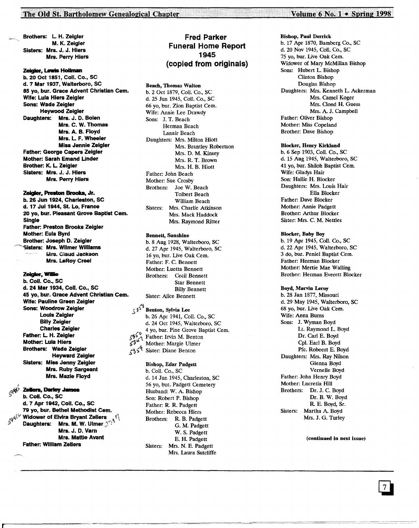Brothers: L H. Zeigler M. K. Zeigler Sisters: Mrs. J. J. Hiers Mrs. Perry Hiers

........ , - .. - - \_.\_--------- \_- - .. ',.,"',., ".,'" .. \_.

## Zeigler, Lewis Hollman

b. 20 Oct 1851, Coli. Co., SC d.7 Mar 1937, Walterboro, SC 85 yo, bur. Grace Advent Christian Cem. Wife: Lula Hiers Zeigler Sons: Wade Zeigler Heywood Zeigler Daughters: Mrs. J. D. Bolen Mrs. C. W. Thomas Mrs. A. B. Floyd Mrs. L F. Wheeler Miss Jennie Zeigler Father: George Capers Zeigler Mother: sarah Emand Under Brother: K. L Zeigler Sisters: Mrs. J. J. Hiers Mrs. Perry Hiers

#### Zeigler, Preston Brooks, Jr.

b. 26 Jun 1924, Charleston, SC d. 17 Jul 1944, St. Lo, France 20 yo, bur. Pleasant Grove Baptist Cem. Single Father: Preston Brooks Zeigler Mother: Eula Byrd Brother: Joseph D. Zeigler ~Sisters: Mrs. Wilmer Williams Mrs. Claud Jackson Mrs. leRoy Creel

## Zeigler, Willie

b. Coli. Co., SC d. 24 Mar 1934, Coli. Co., SC 45 yo, bur. Grace Advent Christian Cem. Wife: Pauline Green Zeigler Sons: Woodrow Zeigler Louis Zeigler Billy Zeigler Charles Zeigler Father: L H. Zeigler Mother: Lula Hiers Brothers: Wade Zeigler Heyward Zeigler Sisters: Miss Jenny Zeigler Mrs. Ruby sargeant Mrs. Mazie Floyd

## $\mu_{\alpha}$ q $\Lambda^{\gamma}$  Zellers, Darley Jame

(

b. Coll. Co., SC d. 7 Apr 1942, Coli. Co., SC 79 yo, bur. Bethel Methodist Cem.<br> $\zeta^{q^{i\left\{ \right\} \cup}}$  Widower of Elvira Bryant Zellers **Daughters: Mrs. M. W. Ulmer**  $2^{c}$ **<sup>3</sup>** Mrs. J. D. Varn Mrs. Mattie Avant Father: William Zellers

## Fred Parker Funeral Home Report 1945 (copied from originals)

## Beach, Thomas Walton

b. 2 Oct 1879, CoIl. Co., SC d. 25 Jun 1945, ColI. Co., SC 66 yo, bur. Zion Baptist Cem. Wife: Annie Lee Drawdy Sons: J. T. Beach Herman Beach Lanair Beach Daughters: Mrs. Milton Hiott Mrs. Brantley Robertson Mrs. D. M. Kinsey Mrs. R. T. Brown Mrs. H. B. Hiott Father: John Beach Mother: Sue Crosby Brothers: Joe W. Beach Tolbert Beach William Beach Sisters: Mrs. Charlie Atkinson Mrs. Mack Haddock Mrs. Raymond Ritter

## Bennett, Sunshine

b. 8 Aug 1928, Walterboro, SC d. 27 Apr 1945, Walterboro, SC 16 yo, bur. Live Oak Cem. Father: F. C. Bennett Mother: Luetta Bennett Brothers: Cecil Bennett Star Bennett Billy Bennett Sister: Alice Bennett

## $\left(3\right)^{56}$  Benton, Sylvia Lee

b. 26 Apr 1941, CoIl. Co., SC d. 24 Oct 1945, Walterboro, SC  $5^{10^{6}}$  a yo, bur. Pine Grove Baptist Cem.<br> $5^{10^{6}}$  Father: Irvin M. Benton<br> $5^{3^{6}}$  Mother: Margie Ulmer 5359 Sister: Diane Benton

## Bishop, Edar Padgett

b. CoIl. Co., SC d. 14 Jun 1945, Charleston, SC 56 yo, bur. Padgett Cemetery Husband: W. A. Bishop Son: Robert P. Bishop Father: R. R. Padgett Mother: Rebecca Hiers Brothers: R. B. Padgett G. M. Padgett W. S. Padgett E. H. Padgett Sisters: Mrs. N. E. Padgett Mrs. Laura Sutcliffe

## Bishop, Paul Derrick

b. 17 Apr 1870, Bamberg Co., SC d. 20 Nov 1945, CoIl. Co., SC 75 yo, bur. Live Oak Cem. Widower of Mary McMillan Bishop Sons: Hubert L Bishop Clinton Bishop Douglas Bishop Daughters: Mrs. Kenneth L. Ackerman Mrs. Camel Koger Mrs. Oond H. Guess Mrs. A. J. Campbell Father: Oliver Bishop Mother: Miss Copeland Brother: Dave Bishop

## Blocker, Henry Kirkland

b. 6 Sep 1903, Coil. Co., SC d. 15 Aug 1945, Walterboro, SC 41 yo, bur. Shiloh Baptist Cem. Wife: Gladys Hair Son: Hallie H. Blocker Daughters: Mrs. Louis Hair Ella Blocker Father: Dave Blocker Mother: Annie Padgett Brother: Arthur Blocker Sister: Mrs. C. M. Nettles

#### Blocker, Baby Boy

b. 19 Apr 1945, CoIl. Co., SC d. 22 Apr 1945, Walterboro, SC 3 do, bur. Peniel Baptist Cem. Father: Herman Blocker Mother: Mertie Mae Walling Brother: Herman Everett Blocker

#### Boyd, Marvin Leroy

b. 28 Jan 1877, Missouri d. 29 May 1945, Walterboro, SC 68 yo, bur. Live Oak Cem. Wife: Anna Burns Sons: J. Wyman Boyd Lt. Raymond L. Boyd Dr. Carl E. Boyd Cpl. Earl B. Boyd Pfc. Robeert E. Boyd Daughters: Mrs. Ray Nilson Glenna Boyd Vernelle Boyd Father: John Henry Boyd Mother: Lucretia Hill Brothers: Dr. J. C. Boyd Dr. B. W. Boyd R. E. Boyd, Sr. Sisters: Martha A. Boyd Mrs. J. G. Turley

#### (continued in next issue)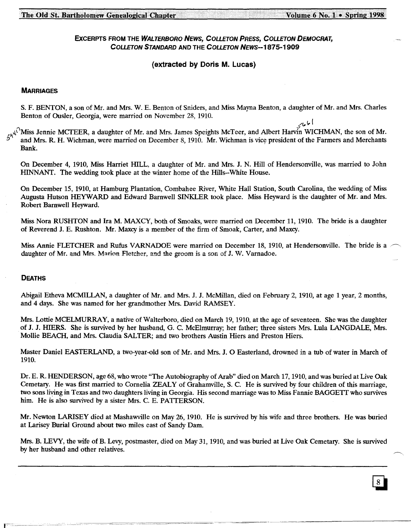## EXCERPTS FROM THE WALTERBORO NEWS, COLLETON PRESS, COLLETON DEMOCRAT, COLLErON STANDARD AND THE COLLErON NEWS--1875-1909

## (extracted by Doris M. Lucas)

## **MARRIAGES**

S. F. BENTON, a son of Mr. and Mrs. W. E. Benton of Sniders, and Miss Mayna Benton, a daughter of Mr. and Mrs. Charles Benton of Gusler, Georgia, were married on November 28, 1910.

ا ما<sub>ر</sub>ىپ<sub>ر</sub> <sub>49</sub> 4<sup>(1)</sup>Miss Jennie MCTEER, a daughter of Mr. and Mrs. James Speights McTeer, and Albert Harvin WICHMAN, the son of Mr. and Mrs. R. H. Wichman, were married on December 8, 1910. Mr. Wichman is vice president of the Farmers and Merchants Bank.

On December 4, 1910, Miss Harriet HILL, a daughter of Mr. and Mrs. J. N. Hill of Hendersonville, was married to John HINNANT. The wedding took place at the winter home of the Hills--White House.

On December 15, 1910, at Hamburg Plantation, Combahee River, White Hall Station, South Carolina, the wedding of Miss Augusta Hutson HEYWARD and Edward Barnwell SINKLER took place. Miss Heyward is the daughter of Mr. and Mrs. Robert Barnwell Heyward.

Miss Nora RUSHTON and Ira M. MAXCY, both of Smoaks, were married on December 11, 1910. The bride is a daughter of Reverend J. E. Rushton. Mr. Maxcy is a member of the firm of Smoak, Carter, and Maxcy.

Miss Annie FLETCHER and Rufus VARNADOE were married on December 18, 1910, at Hendersonville. The bride is a ~ daughter of Mr. and Mrs. Marion Fletcher, and the groom is a son of J. W. Varnadoe.

## DEATHS

Abigail Etheva MCMILLAN, a daughter of Mr. and Mrs. J. J. McMillan, died on February 2, 1910, at age 1 year, 2 months, and 4 days. She was named for her grandmother Mrs. David RAMSEY.

Mrs. Lottie MCELMURRAY, a native of Walterboro, died on March 19, 1910, at the age of seventeen. She was the daughter of J. J. HIERS. She is survived by her husband, G. C. McElmurray; her father; three sisters Mrs. Lula LANGDALE, Mrs. Mollie BEACH, and Mrs. Claudia SALTER; and two brothers Austin Hiers and Preston Hiers.

Master Daniel EASTERLAND, a two-year-old son of Mr. and Mrs. J. 0 Easterland, drowned in a tub of water in March of 1910.

Dr. E. R. HENDERSON, age 68, who wrote "The Autobiography of Arab" died on March 17, 1910, and was buried at Live Oak Cemetary. He was first married to Cornelia ZEALY of Grahamville, S. C. He is survived by four children of this marriage, two sons living in Texas and two daughters living in Georgia. His second marriage was to Miss Fannie BAGGETT who survives him. He is also survived by a sister Mrs. C. E. PATTERSON.

Mr. Newton LARISEY died at Mashawville on May 26,1910. He is survived by his wife and three brothers. He was buried at Larisey Burial Ground about two miles east of Sandy Dam.

Mrs. B. LEVY, the wife of B. Levy, postmaster, died on May 31, 1910, and was buried at Live Oak Cemetary. She is survived by her husband and other relatives.

\_\_\_\_\_ ~ ==~~=~~~=\_~~~=-==~~o~-~~-- -~~~~~\_~ \_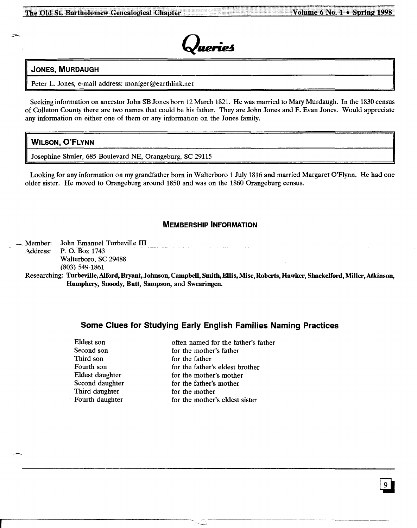

## JONES, MURDAUGH

Peter L. Jones, e-mail address: moniger@earthlink.net

Seeking information on ancestor John SB Jones born 12 March 1821. He was married to Mary Murdaugh. In the 1830 census of Colleton County there are two names that could be his father. They are John Jones and F. Evan Jones. Would appreciate any information on either one of them or any information on the Jones family.

## WILSON, Q'FLYNN

Josephine Shuler, 685 Boulevard NE, Orangeburg, SC 29115

Looking for any information on my grandfather born in Walterboro 1 July 1816 and married Margaret O'Flynn. He had one older sister. He moved to Orangeburg around 1850 and was on the 1860 Orangeburg census.

## MEMBERSHIP INFORMATION

Member: John Emanuel Turbeville III Address: P. O. Box 1743 Walterboro, SC 29488 (803) 549-1861

Researching: Turbeville, Alford, Bryant, Johnson, Campbell, Smith, Ellis, Mise, Roberts, Hawker, Shackelford, Miller, Atkinson, Humphery, Snoody, Butt, Sampson, and Swearingen.

# Some Clues for Studying Early English Families Naming Practices

| Eldest son      | often named for the father's father |
|-----------------|-------------------------------------|
| Second son      | for the mother's father             |
| Third son       | for the father                      |
| Fourth son      | for the father's eldest brother     |
| Eldest daughter | for the mother's mother             |
| Second daughter | for the father's mother             |
| Third daughter  | for the mother                      |
| Fourth daughter | for the mother's eldest sister      |
|                 |                                     |